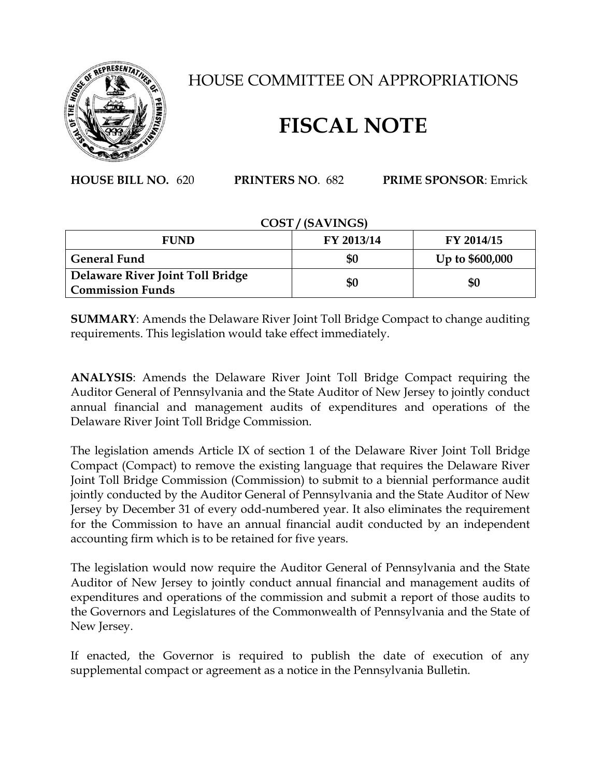

## HOUSE COMMITTEE ON APPROPRIATIONS

# **FISCAL NOTE**

**HOUSE BILL NO.** 620 **PRINTERS NO**. 682 **PRIME SPONSOR**: Emrick

#### **COST / (SAVINGS)**

| <b>FUND</b>                                                 | FY 2013/14 | FY 2014/15      |
|-------------------------------------------------------------|------------|-----------------|
| <b>General Fund</b>                                         | \$0        | Up to \$600,000 |
| Delaware River Joint Toll Bridge<br><b>Commission Funds</b> | \$0        | \$0             |

**SUMMARY**: Amends the Delaware River Joint Toll Bridge Compact to change auditing requirements. This legislation would take effect immediately.

**ANALYSIS**: Amends the Delaware River Joint Toll Bridge Compact requiring the Auditor General of Pennsylvania and the State Auditor of New Jersey to jointly conduct annual financial and management audits of expenditures and operations of the Delaware River Joint Toll Bridge Commission.

The legislation amends Article IX of section 1 of the Delaware River Joint Toll Bridge Compact (Compact) to remove the existing language that requires the Delaware River Joint Toll Bridge Commission (Commission) to submit to a biennial performance audit jointly conducted by the Auditor General of Pennsylvania and the State Auditor of New Jersey by December 31 of every odd-numbered year. It also eliminates the requirement for the Commission to have an annual financial audit conducted by an independent accounting firm which is to be retained for five years.

The legislation would now require the Auditor General of Pennsylvania and the State Auditor of New Jersey to jointly conduct annual financial and management audits of expenditures and operations of the commission and submit a report of those audits to the Governors and Legislatures of the Commonwealth of Pennsylvania and the State of New Jersey.

If enacted, the Governor is required to publish the date of execution of any supplemental compact or agreement as a notice in the Pennsylvania Bulletin.